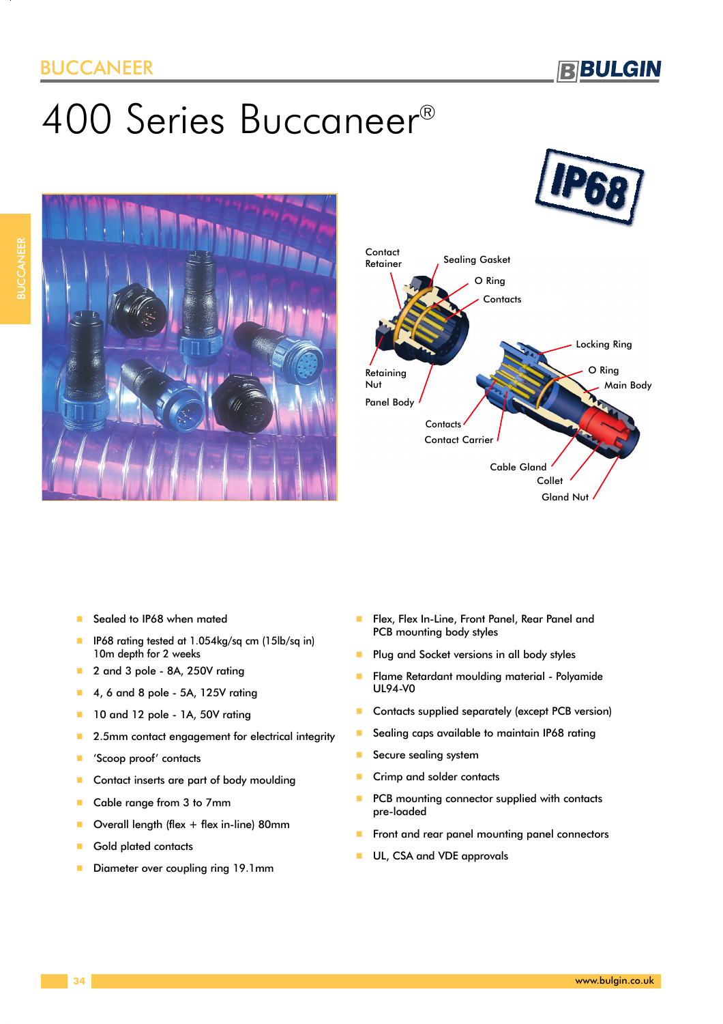### BUCCANEER

# 400 Series Buccaneer®







- -Sealed to IP68 when mated
- - IP68 rating tested at 1.054kg/sq cm (15lb/sq in) 10m depth for 2 weeks
- -2 and 3 pole - 8A, 250V rating
- -4, 6 and 8 pole - 5A, 125V rating
- -10 and 12 pole - 1A, 50V rating
- -2.5mm contact engagement for electrical integrity
- -'Scoop proof' contacts
- -Contact inserts are part of body moulding
- -Cable range from 3 to 7mm
- -Overall length (flex + flex in-line) 80mm
- -Gold plated contacts
- -Diameter over coupling ring 19.1mm
- - Flex, Flex In-Line, Front Panel, Rear Panel and PCB mounting body styles
- -Plug and Socket versions in all body styles
- - Flame Retardant moulding material - Polyamide UL94-V0
- -Contacts supplied separately (except PCB version)
- -Sealing caps available to maintain IP68 rating
- -Secure sealing system
- -Crimp and solder contacts
- -PCB mounting connector supplied with contacts pre-loaded
- -Front and rear panel mounting panel connectors
- -UL, CSA and VDE approvals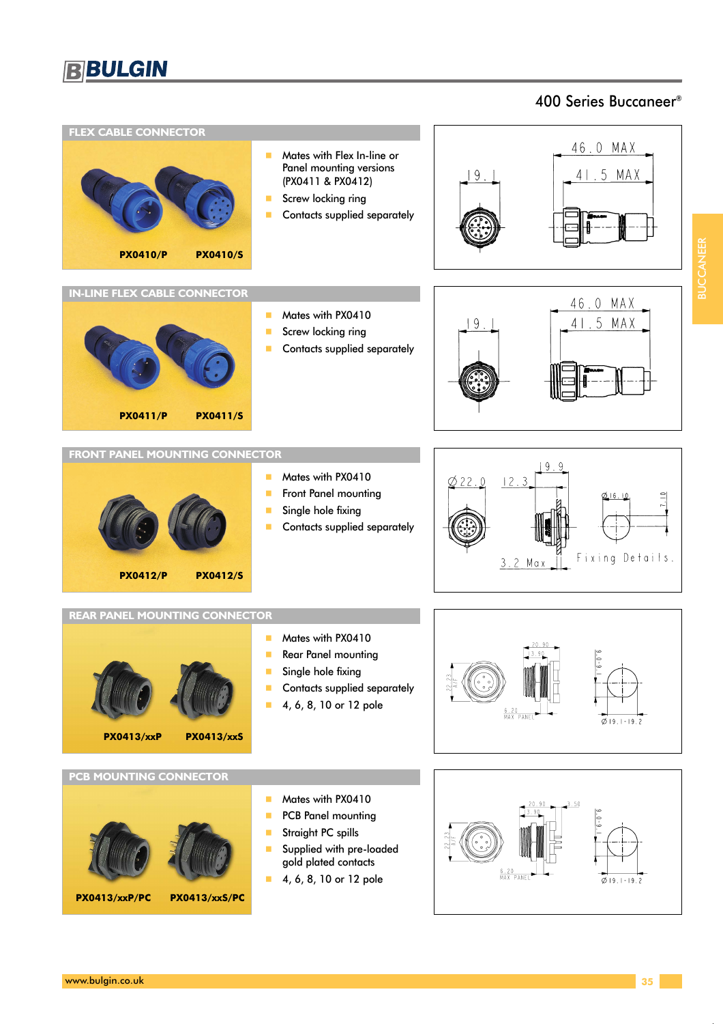### 400 Series Buccaneer®

BUCCANEER

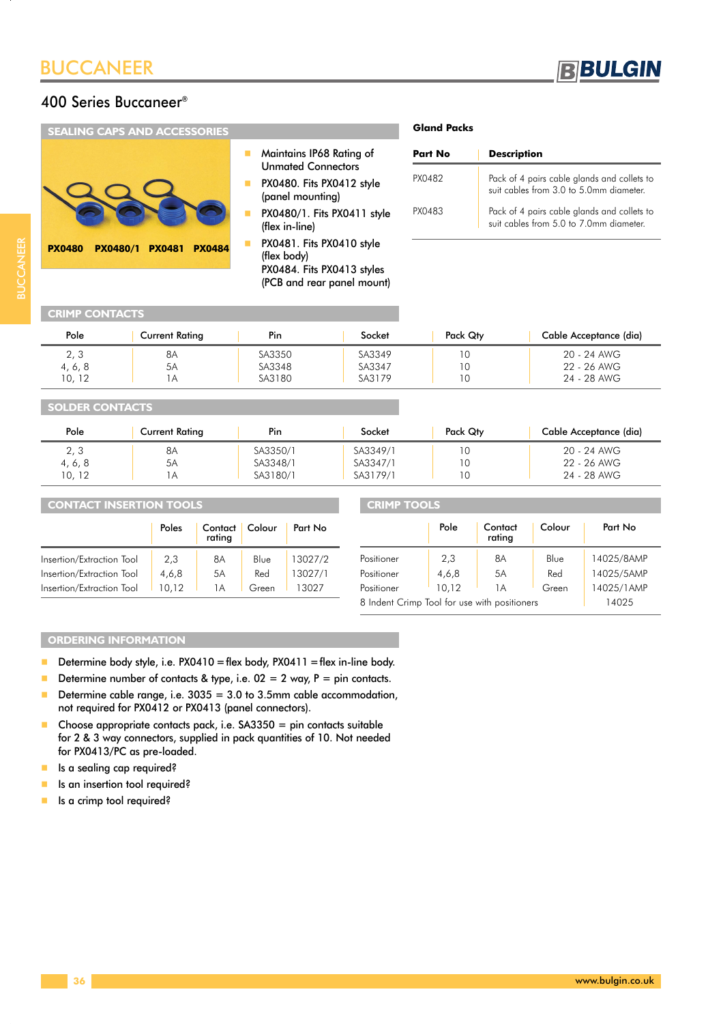



| <b>SEALING CAPS AND ACCESSORIES</b>                                |                                                                                                                                       | <b>Gland Packs</b>                 |                                                                                                                           |
|--------------------------------------------------------------------|---------------------------------------------------------------------------------------------------------------------------------------|------------------------------------|---------------------------------------------------------------------------------------------------------------------------|
|                                                                    | Maintains IP68 Rating of<br><b>Unmated Connectors</b><br>PX0480. Fits PX0412 style<br>(panel mounting)<br>PX0480/1. Fits PX0411 style | <b>Part No</b><br>PX0482<br>PX0483 | <b>Description</b><br>Pack of 4 pairs cable glands an<br>suit cables from 3.0 to 5.0mm<br>Pack of 4 pairs cable glands an |
| <b>PX0484</b><br><b>PX0480/1</b><br><b>PX0481</b><br><b>PX0480</b> | (flex in-line)<br>PX0481. Fits PX0410 style<br>(flex body)<br>PX0484. Fits PX0413 styles<br>(PCB and rear panel mount)                |                                    | suit cables from 5.0 to 7.0mm                                                                                             |

## **BUCCANEER** BUCCANEER

### **CRIMP CONTACTS**

| Pole    | <b>Current Rating</b> | Pin    | Socket | Pack Qty | Cable Acceptance (dia) |
|---------|-----------------------|--------|--------|----------|------------------------|
| 2, 3    | 8Α                    | SA3350 | SA3349 | ١O       | 20 - 24 AWG            |
| 4, 6, 8 | 5A                    | SA3348 | SA3347 | l 0      | 22 - 26 AWG            |
| 10, 12  |                       | SA3180 | SA3179 | 10       | 24 - 28 AWG            |

### **SOLDER CONTACTS**

| Pole    | <b>Current Rating</b> | Pin      | Socket   | Pack Qty | Cable Acceptance (dia) |
|---------|-----------------------|----------|----------|----------|------------------------|
| 2, 3    | 8A                    | SA3350/1 | SA3349/1 |          | 20 - 24 AWG            |
| 4, 6, 8 | 5A                    | SA3348/1 | SA3347/1 |          | 22 - 26 AWG            |
| 10, 12  | ΙA                    | SA3180/1 | SA3179/1 |          | 24 - 28 AWG            |

| <b>CONTACT INSERTION TOOLS</b> |       |                     | <b>CRIMP TOOLS</b> |         |                                              |       |                   |        |            |
|--------------------------------|-------|---------------------|--------------------|---------|----------------------------------------------|-------|-------------------|--------|------------|
|                                | Poles | Contact  <br>rating | Colour             | Part No |                                              | Pole  | Contact<br>rating | Colour | Part No    |
| Insertion/Extraction Tool      | 2,3   | 8Α                  | Blue               | 3027/2  | Positioner                                   | 2,3   | 8A                | Blue   | 14025/8AMP |
| Insertion/Extraction Tool      | 4,6,8 | 5A                  | Red                | 3027/1  | Positioner                                   | 4,6,8 | 5A                | Red    | 14025/5AMP |
| Insertion/Extraction Tool      | 0.12  | . A                 | Green              | 13027   | Positioner                                   | 10.12 | 1A                | Green  | 4025/1AMP  |
|                                |       |                     |                    |         | 8 Indent Crimp Tool for use with positioners |       |                   |        | 14025      |

### **ORDERING INFORMATION**

- $\blacksquare$  Determine body style, i.e. PX0410 = flex body, PX0411 = flex in-line body.
- -Determine number of contacts & type, i.e.  $02 = 2$  way,  $P = \text{pin contacts.}$
- - Determine cable range, i.e. 3035 = 3.0 to 3.5mm cable accommodation, not required for PX0412 or PX0413 (panel connectors).
- - Choose appropriate contacts pack, i.e. SA3350 = pin contacts suitable for 2 & 3 way connectors, supplied in pack quantities of 10. Not needed for PX0413/PC as pre-loaded.
- **I** Is a sealing cap required?
- -Is an insertion tool required?
- -Is a crimp tool required?

| Part No | <b>Description</b>                                                                     |
|---------|----------------------------------------------------------------------------------------|
| PX0482  | Pack of 4 pairs cable glands and collets to<br>suit cables from 3.0 to 5.0mm diameter. |
| PX0483  | Pack of 4 pairs cable glands and collets to<br>suit cables from 5.0 to 7.0mm diameter. |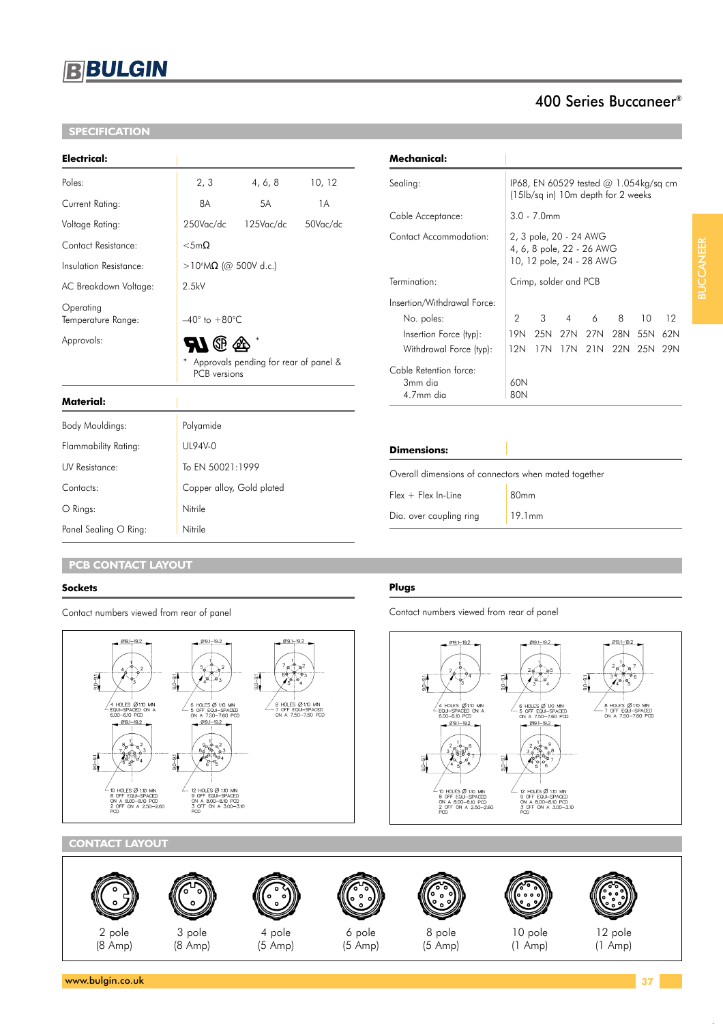### **BBULGIN**

### **SPECIFICATION**

| 2, 3                                                  | 4, 6, 8      | 10, 12                                             |  |  |
|-------------------------------------------------------|--------------|----------------------------------------------------|--|--|
| 8A                                                    | 5A           | 1A                                                 |  |  |
| 250Vac/dc                                             | $125$ Vac/dc | 50Vac/dc                                           |  |  |
| $<$ 5m $\Omega$                                       |              |                                                    |  |  |
| >10 <sup>6</sup> MΩ (@ 500V d.c.)                     |              |                                                    |  |  |
| 2.5kV                                                 |              |                                                    |  |  |
|                                                       |              |                                                    |  |  |
|                                                       |              |                                                    |  |  |
| Approvals pending for rear of panel &<br>PCB versions |              |                                                    |  |  |
|                                                       |              |                                                    |  |  |
|                                                       |              | $-40^{\circ}$ to $+80^{\circ}$ C<br><b>RI</b> ® 42 |  |  |

| Mechanical:                                    |                                                                                 |                |     |                     |   |         |     |
|------------------------------------------------|---------------------------------------------------------------------------------|----------------|-----|---------------------|---|---------|-----|
| Sealing:                                       | IP68, EN 60529 tested $@1.054kg/sq$ cm<br>(15lb/sq in) 10m depth for 2 weeks    |                |     |                     |   |         |     |
| Cable Acceptance:                              |                                                                                 | $3.0 - 7.0$ mm |     |                     |   |         |     |
| Contact Accommodation:                         | 2, 3 pole, 20 - 24 AWG<br>4, 6, 8 pole, 22 - 26 AWG<br>10, 12 pole, 24 - 28 AWG |                |     |                     |   |         |     |
| Termination:                                   | Crimp, solder and PCB                                                           |                |     |                     |   |         |     |
| Insertion/Withdrawal Force:                    |                                                                                 |                |     |                     |   |         |     |
| No. poles:                                     | 2                                                                               | 3              | 4   | 6                   | 8 | 10      | 12  |
| Insertion Force (typ):                         | 19N                                                                             |                |     | 25N 27N 27N 28N 55N |   |         | 62N |
| Withdrawal Force (typ):                        | 12N                                                                             | 17N            | 17N | 21N                 |   | 22N 25N | 29N |
| Cable Retention force:<br>3mm dia<br>4.7mm dia | 60N<br>80N                                                                      |                |     |                     |   |         |     |

400 Series Buccaneer®

**Plugs**

 $\frac{51}{20}$ 

 $-91$ 

| Dimensions: |  |
|-------------|--|
|             |  |

| Overall dimensions of connectors when mated together |
|------------------------------------------------------|
|                                                      |

| $Flex + Flex In-Line$   | 80 <sub>mm</sub> |
|-------------------------|------------------|
| Dia. over coupling ring | 19.1mm           |

Contact numbers viewed from rear of panel

 $\frac{51}{90}$ 

019.1-19.2

| HOLES ダ110 MIN<br>IQUI-SPACED ON A<br>|OD-610 PCD

 $@19.1 - 19.2$ 

s p

ø.

/<br>10 HOLES Ø 110 MIN<br>8 OFF EQUI-SPACED<br>0N A 8.00-8.10 PCD<br>2 OFF ON A 2.50-2.60<br>PCD

−SPA<br>-6.10

### **PCB CONTACT LAYOUT**

Contact numbers viewed from rear of panel

O Rings: Nitrile Panel Sealing O Ring: Nitrile

Body Mouldings: Polyamide Flammability Rating: UL94V-0

UV Resistance: To EN 50021:1999

Contacts: Contacts: Copper alloy, Gold plated

### **Sockets**

 $019.1 - 19.2$ 019.1-19.2  $019.1 - 19.2$  $\overline{\sigma}$  $50 - 91$ / |<br>8 HOLES Ø 1.10 MN<br>7 OFF EQUI—SPACED<br>ON A 7.50—7.60 PCD /<br>4 HOLES Ø1.10 MN<br>EQUI-SPACED ON A<br>6.00-6.10 PCD s<br>6 HOLES Ø 110 MIN<br>5 OFF EQUI-SPACED<br>0N A 7.50-7.60 PCD  $019.1 - 19.2$  $019.1 - 19.2$  $\frac{6}{3}$  $5 - 91$ /<br>10 HOLESØ1.10 MN<br>8 OFF EQUI-SPACED<br>0N A 8.00-8.10 PCD<br>2 OFF 0N A 2.50-2.60<br>PCD 12 HOLES Ø 1.10 MIN<br>9 OFF EQUI-SPACED<br>0N A 8.00-8.10 PCD<br>3 OFF 0N A 3.00-3.10<br>PCD

### **CONTACT LAYOUT**











019.1-19.2

/<br>6 HOLES Ø 1.10 MN<br>5 OFF EQUI-SPACED<br>ON A 7.50-7.60 PCD

019.1-19.2

12 HOLES Ø 1.10 MIN<br>9 OFF EQUI-SPACED<br>ON A 8.00-8.10 PCD<br>3 OFF ON A 3.00-3.10<br>PCD

| ć |  |  |
|---|--|--|
|   |  |  |
|   |  |  |

(8 Amp) (8 Amp) (5 Amp) (5 Amp) (5 Amp) (1 Amp) (1 Amp)

2 pole 3 pole 4 pole 6 pole 8 pole 10 pole 12 pole

**BUCCANEER** BUCCANEER

019.1-19.2

8 HOLES Ø1.10 MN<br>7 OFF EQU-SPACED<br>ON A 7.50-7.60 PCD

 $-9.1$